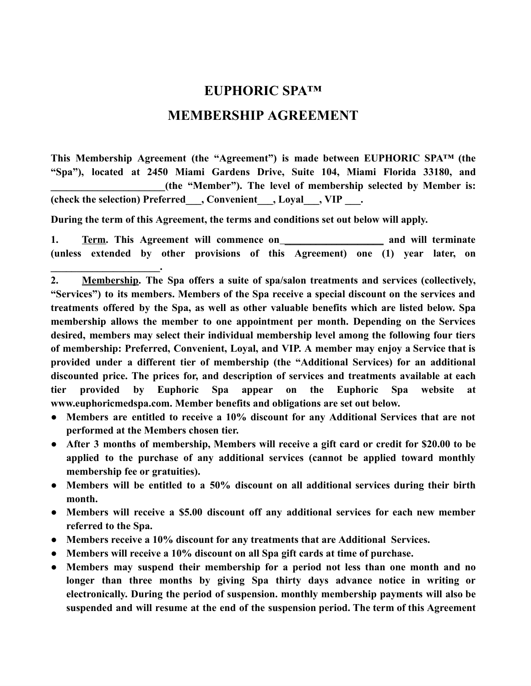## **EUPHORIC SPA™**

## **MEMBERSHIP AGREEMENT**

**This Membership Agreement (the "Agreement") is made between EUPHORIC SPA™ (the "Spa"), located at 2450 Miami Gardens Drive, Suite 104, Miami Florida 33180, and**  (the "Member"). The level of membership selected by Member is: **(check the selection) Preferred\_\_\_, Convenient\_\_\_, Loyal\_\_\_, VIP \_\_\_.** 

**During the term of this Agreement, the terms and conditions set out below will apply.** 

**\_\_\_\_\_\_\_\_\_\_\_\_\_\_\_\_\_\_\_\_\_.** 

**1. Term.** This Agreement will commence on **\_\_\_\_\_\_\_\_\_\_\_\_\_\_\_** and will terminate **(unless extended by other provisions of this Agreement) one (1) year later, on** 

- **● Members are entitled to receive a 10% discount for any Additional Services that are not performed at the Members chosen tier.**
- **● After 3 months of membership, Members will receive a gift card or credit for \$20.00 to be applied to the purchase of any additional services (cannot be applied toward monthly membership fee or gratuities).**
- **● Members will be entitled to a 50% discount on all additional services during their birth month.**
- **● Members will receive a \$5.00 discount off any additional services for each new member referred to the Spa.**
- **● Members receive a 10% discount for any treatments that are Additional Services.**
- **● Members will receive a 10% discount on all Spa gift cards at time of purchase.**
- **● Members may suspend their membership for a period not less than one month and no longer than three months by giving Spa thirty days advance notice in writing or electronically. During the period of suspension. monthly membership payments will also be suspended and will resume at the end of the suspension period. The term of this Agreement**

<sup>2.</sup> **Membership. The Spa offers a suite of spa/salon treatments and services (collectively, "Services") to its members. Members of the Spa receive a special discount on the services and treatments offered by the Spa, as well as other valuable benefits which are listed below. Spa membership allows the member to one appointment per month. Depending on the Services desired, members may select their individual membership level among the following four tiers of membership: Preferred, Convenient, Loyal, and VIP. A member may enjoy a Service that is provided under a different tier of membership (the "Additional Services) for an additional discounted price. The prices for, and description of services and treatments available at each tier provided by Euphoric Spa appear on the Euphoric Spa website at www.euphoricmedspa.com. Member benefits and obligations are set out below.**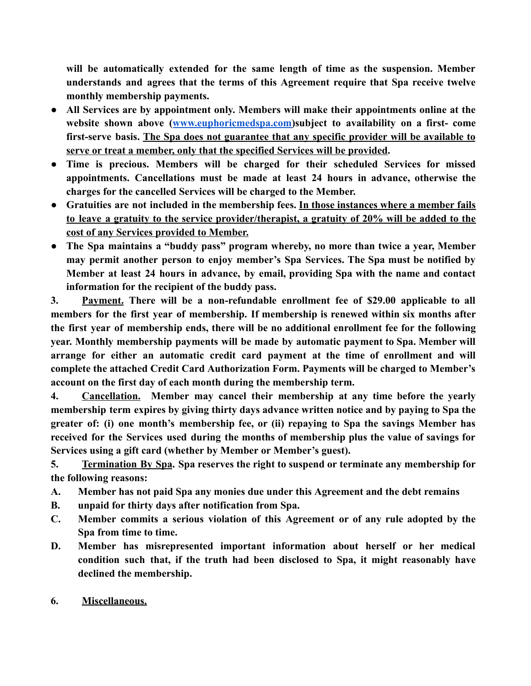**will be automatically extended for the same length of time as the suspension. Member understands and agrees that the terms of this Agreement require that Spa receive twelve monthly membership payments.** 

- **● All Services are by appointment only. Members will make their appointments online at the website shown above ( [www.euphoricmedspa.com \)](http://www.euphoricmedspa.com/)subject to availability on a first- come first-serve basis. The Spa does not guarantee that any specific provider will be available to serve or treat a member, only that the specified Services will be provided .**
- **● Time is precious. Members will be charged for their scheduled Services for missed appointments. Cancellations must be made at least 24 hours in advance, otherwise the charges for the cancelled Services will be charged to the Member.**
- **● Gratuities are not included in the membership fees. In those instances where a member fails to leave a gratuity to the service provider/therapist, a gratuity of 20% will be added to the cost of any Services provided to Member.**
- **● The Spa maintains a "buddy pass" program whereby, no more than twice a year, Member may permit another person to enjoy member's Spa Services. The Spa must be notified by Member at least 24 hours in advance, by email, providing Spa with the name and contact information for the recipient of the buddy pass.**

**3. Payment. There will be a non-refundable enrollment fee of \$29.00 applicable to all members for the first year of membership. If membership is renewed within six months after the first year of membership ends, there will be no additional enrollment fee for the following year. Monthly membership payments will be made by automatic payment to Spa. Member will arrange for either an automatic credit card payment at the time of enrollment and will complete the attached Credit Card Authorization Form. Payments will be charged to Member's account on the first day of each month during the membership term.** 

**4. Cancellation. Member may cancel their membership at any time before the yearly membership term expires by giving thirty days advance written notice and by paying to Spa the greater of: (i) one month's membership fee, or (ii) repaying to Spa the savings Member has received for the Services used during the months of membership plus the value of savings for Services using a gift card (whether by Member or Member's guest).** 

**5. Termination By Spa . Spa reserves the right to suspend or terminate any membership for the following reasons:** 

- **A. Member has not paid Spa any monies due under this Agreement and the debt remains**
- **B. unpaid for thirty days after notification from Spa.**
- **C. Member commits a serious violation of this Agreement or of any rule adopted by the Spa from time to time.**
- **D. Member has misrepresented important information about herself or her medical condition such that, if the truth had been disclosed to Spa, it might reasonably have declined the membership.**
- **6. Miscellaneous.**